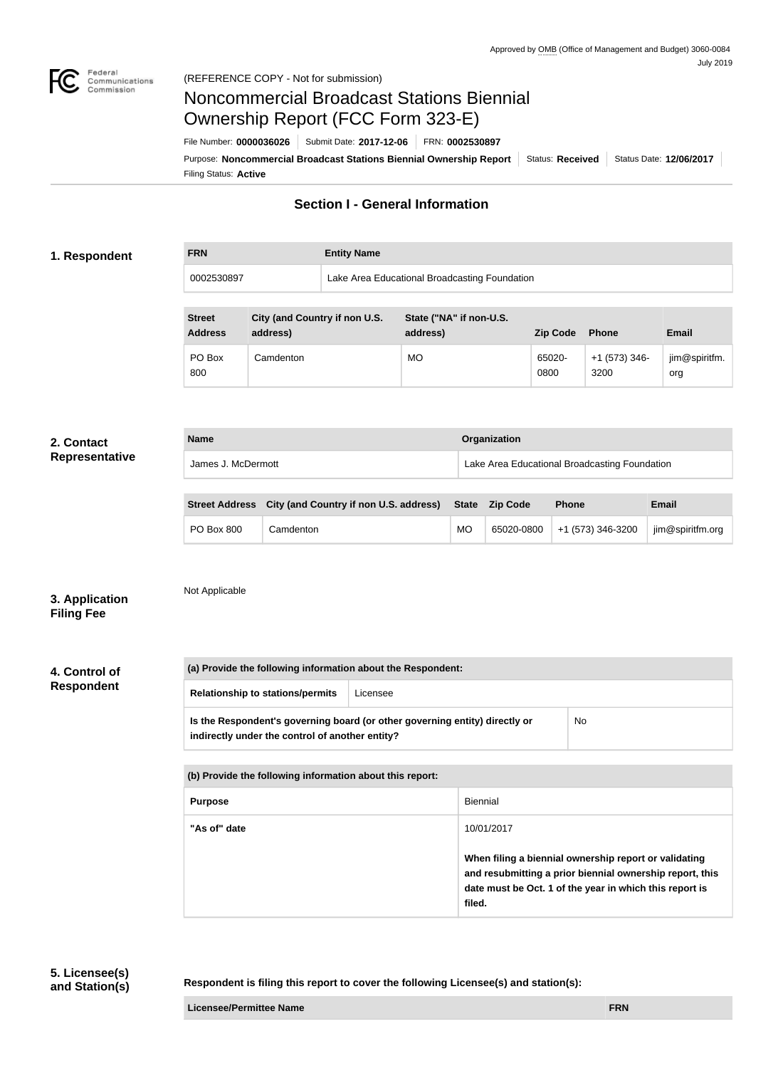

# Noncommercial Broadcast Stations Biennial Ownership Report (FCC Form 323-E)

Filing Status: **Active** Purpose: Noncommercial Broadcast Stations Biennial Ownership Report | Status: Received | Status Date: 12/06/2017 File Number: **0000036026** Submit Date: **2017-12-06** FRN: **0002530897**

## **Section I - General Information**

#### **1. Respondent**

**FRN Entity Name**

0002530897 Lake Area Educational Broadcasting Foundation

| <b>Street</b><br><b>Address</b> | City (and Country if non U.S.<br>address) | State ("NA" if non-U.S.<br>address) | <b>Zip Code</b> | <b>Phone</b>            | <b>Email</b>         |
|---------------------------------|-------------------------------------------|-------------------------------------|-----------------|-------------------------|----------------------|
| PO Box<br>800                   | Camdenton                                 | <b>MO</b>                           | 65020-<br>0800  | $+1$ (573) 346-<br>3200 | jim@spiritfm.<br>org |

#### **2. Contact Representative**

| <b>Name</b>        | Organization                                  |  |
|--------------------|-----------------------------------------------|--|
| James J. McDermott | Lake Area Educational Broadcasting Foundation |  |

|                   | Street Address City (and Country if non U.S. address) State Zip Code |           | <b>Phone</b>                 | <b>Email</b>     |
|-------------------|----------------------------------------------------------------------|-----------|------------------------------|------------------|
| <b>PO Box 800</b> | Camdenton                                                            | <b>MO</b> | 65020-0800 +1 (573) 346-3200 | jim@spiritfm.org |

## **3. Application Filing Fee**

Not Applicable

**4. Control of Respondent**

| (a) Provide the following information about the Respondent:                                                                    |  |           |  |  |
|--------------------------------------------------------------------------------------------------------------------------------|--|-----------|--|--|
| <b>Relationship to stations/permits</b><br>Licensee                                                                            |  |           |  |  |
| Is the Respondent's governing board (or other governing entity) directly or<br>indirectly under the control of another entity? |  | <b>No</b> |  |  |
|                                                                                                                                |  |           |  |  |

| (b) Provide the following information about this report: |                                                                                                                                                                                        |  |
|----------------------------------------------------------|----------------------------------------------------------------------------------------------------------------------------------------------------------------------------------------|--|
| <b>Purpose</b>                                           | Biennial                                                                                                                                                                               |  |
| "As of" date                                             | 10/01/2017                                                                                                                                                                             |  |
|                                                          | When filing a biennial ownership report or validating<br>and resubmitting a prior biennial ownership report, this<br>date must be Oct. 1 of the year in which this report is<br>filed. |  |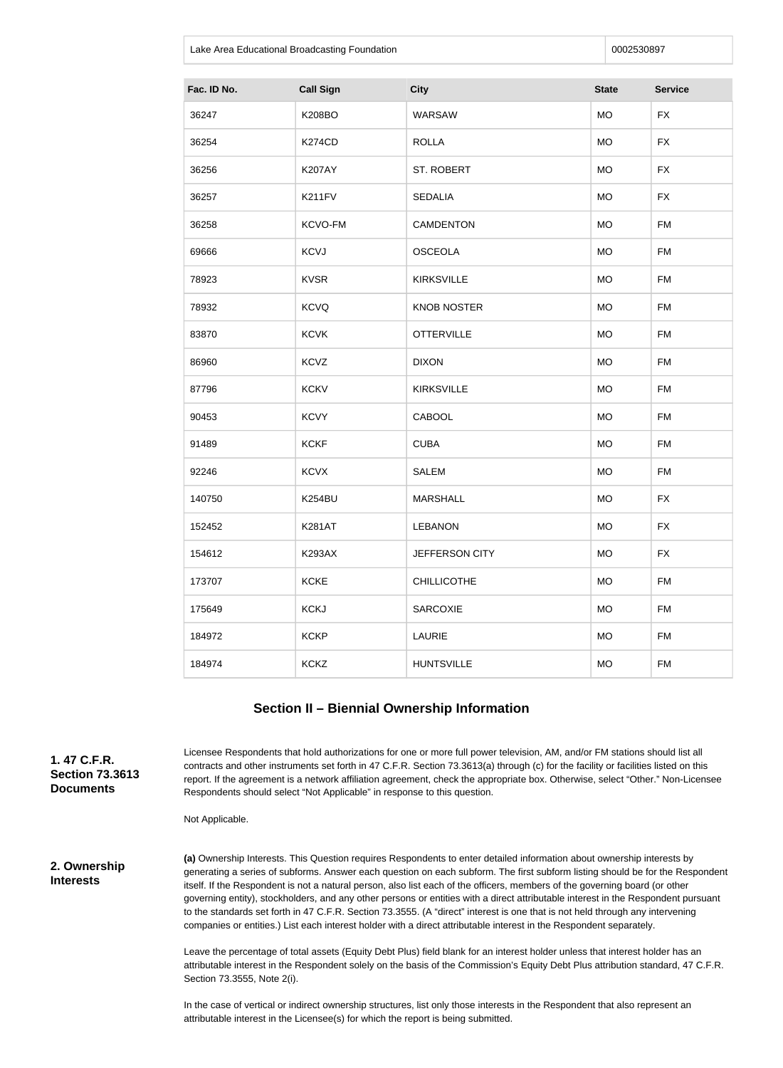Lake Area Educational Broadcasting Foundation **Development Construction** 0002530897

| Fac. ID No. | <b>Call Sign</b> | <b>City</b>        | <b>State</b> | <b>Service</b> |
|-------------|------------------|--------------------|--------------|----------------|
| 36247       | <b>K208BO</b>    | WARSAW             | <b>MO</b>    | <b>FX</b>      |
| 36254       | <b>K274CD</b>    | <b>ROLLA</b>       | <b>MO</b>    | <b>FX</b>      |
| 36256       | <b>K207AY</b>    | ST. ROBERT         | <b>MO</b>    | <b>FX</b>      |
| 36257       | K211FV           | <b>SEDALIA</b>     | <b>MO</b>    | <b>FX</b>      |
| 36258       | KCVO-FM          | <b>CAMDENTON</b>   | <b>MO</b>    | <b>FM</b>      |
| 69666       | <b>KCVJ</b>      | <b>OSCEOLA</b>     | <b>MO</b>    | <b>FM</b>      |
| 78923       | <b>KVSR</b>      | <b>KIRKSVILLE</b>  | <b>MO</b>    | <b>FM</b>      |
| 78932       | <b>KCVQ</b>      | <b>KNOB NOSTER</b> | <b>MO</b>    | <b>FM</b>      |
| 83870       | <b>KCVK</b>      | <b>OTTERVILLE</b>  | <b>MO</b>    | <b>FM</b>      |
| 86960       | <b>KCVZ</b>      | <b>DIXON</b>       | <b>MO</b>    | <b>FM</b>      |
| 87796       | <b>KCKV</b>      | <b>KIRKSVILLE</b>  | <b>MO</b>    | <b>FM</b>      |
| 90453       | <b>KCVY</b>      | CABOOL             | <b>MO</b>    | <b>FM</b>      |
| 91489       | <b>KCKF</b>      | <b>CUBA</b>        | <b>MO</b>    | <b>FM</b>      |
| 92246       | <b>KCVX</b>      | <b>SALEM</b>       | <b>MO</b>    | <b>FM</b>      |
| 140750      | <b>K254BU</b>    | <b>MARSHALL</b>    | <b>MO</b>    | <b>FX</b>      |
| 152452      | <b>K281AT</b>    | <b>LEBANON</b>     | <b>MO</b>    | <b>FX</b>      |
| 154612      | <b>K293AX</b>    | JEFFERSON CITY     | <b>MO</b>    | <b>FX</b>      |
| 173707      | <b>KCKE</b>      | <b>CHILLICOTHE</b> | <b>MO</b>    | <b>FM</b>      |
| 175649      | <b>KCKJ</b>      | <b>SARCOXIE</b>    | <b>MO</b>    | <b>FM</b>      |
| 184972      | <b>KCKP</b>      | LAURIE             | <b>MO</b>    | <b>FM</b>      |
| 184974      | <b>KCKZ</b>      | <b>HUNTSVILLE</b>  | MO           | <b>FM</b>      |

#### **Section II – Biennial Ownership Information**

**1. 47 C.F.R. Section 73.3613 Documents**

Licensee Respondents that hold authorizations for one or more full power television, AM, and/or FM stations should list all contracts and other instruments set forth in 47 C.F.R. Section 73.3613(a) through (c) for the facility or facilities listed on this report. If the agreement is a network affiliation agreement, check the appropriate box. Otherwise, select "Other." Non-Licensee Respondents should select "Not Applicable" in response to this question.

Not Applicable.

**2. Ownership Interests**

**(a)** Ownership Interests. This Question requires Respondents to enter detailed information about ownership interests by generating a series of subforms. Answer each question on each subform. The first subform listing should be for the Respondent itself. If the Respondent is not a natural person, also list each of the officers, members of the governing board (or other governing entity), stockholders, and any other persons or entities with a direct attributable interest in the Respondent pursuant to the standards set forth in 47 C.F.R. Section 73.3555. (A "direct" interest is one that is not held through any intervening companies or entities.) List each interest holder with a direct attributable interest in the Respondent separately.

Leave the percentage of total assets (Equity Debt Plus) field blank for an interest holder unless that interest holder has an attributable interest in the Respondent solely on the basis of the Commission's Equity Debt Plus attribution standard, 47 C.F.R. Section 73.3555, Note 2(i).

In the case of vertical or indirect ownership structures, list only those interests in the Respondent that also represent an attributable interest in the Licensee(s) for which the report is being submitted.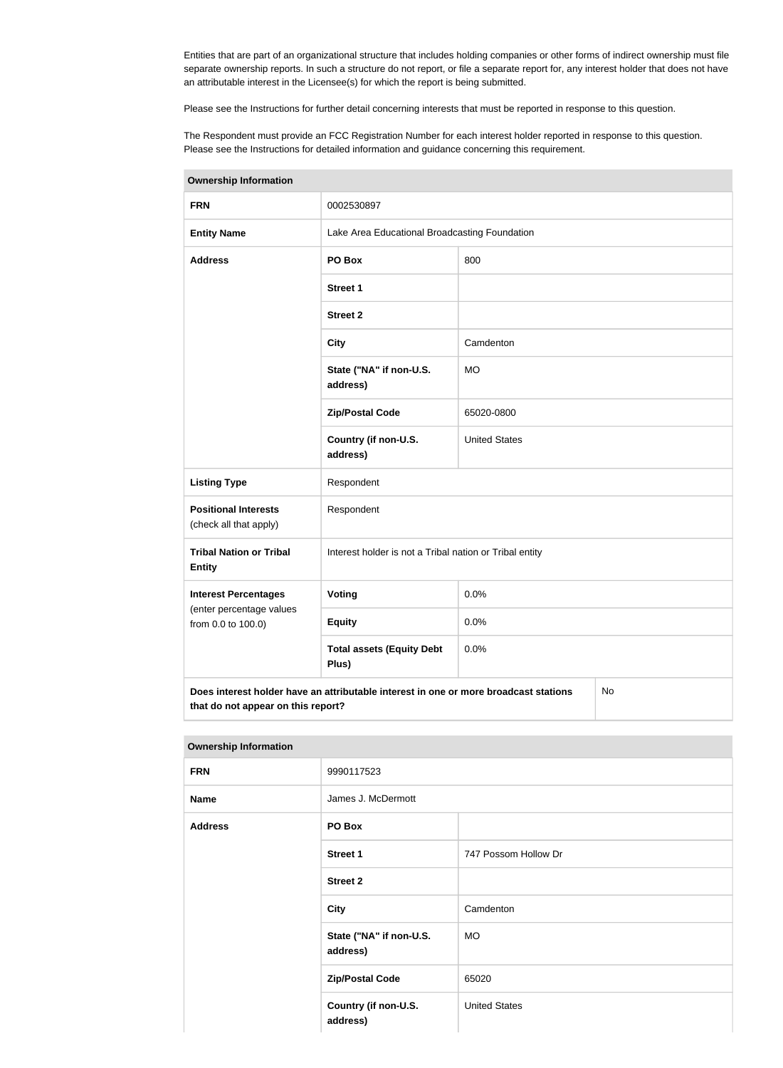Entities that are part of an organizational structure that includes holding companies or other forms of indirect ownership must file separate ownership reports. In such a structure do not report, or file a separate report for, any interest holder that does not have an attributable interest in the Licensee(s) for which the report is being submitted.

Please see the Instructions for further detail concerning interests that must be reported in response to this question.

The Respondent must provide an FCC Registration Number for each interest holder reported in response to this question. Please see the Instructions for detailed information and guidance concerning this requirement.

| Ownership information                                 |                                                                                      |                                                         |    |  |
|-------------------------------------------------------|--------------------------------------------------------------------------------------|---------------------------------------------------------|----|--|
| <b>FRN</b>                                            | 0002530897                                                                           |                                                         |    |  |
| <b>Entity Name</b>                                    |                                                                                      | Lake Area Educational Broadcasting Foundation           |    |  |
| <b>Address</b>                                        | PO Box                                                                               | 800                                                     |    |  |
|                                                       | <b>Street 1</b>                                                                      |                                                         |    |  |
|                                                       | <b>Street 2</b>                                                                      |                                                         |    |  |
|                                                       | <b>City</b>                                                                          | Camdenton                                               |    |  |
|                                                       | State ("NA" if non-U.S.<br>address)                                                  | <b>MO</b>                                               |    |  |
|                                                       | <b>Zip/Postal Code</b>                                                               | 65020-0800                                              |    |  |
|                                                       | Country (if non-U.S.<br>address)                                                     | <b>United States</b>                                    |    |  |
| <b>Listing Type</b>                                   | Respondent                                                                           |                                                         |    |  |
| <b>Positional Interests</b><br>(check all that apply) | Respondent                                                                           |                                                         |    |  |
| <b>Tribal Nation or Tribal</b><br><b>Entity</b>       |                                                                                      | Interest holder is not a Tribal nation or Tribal entity |    |  |
| <b>Interest Percentages</b>                           | <b>Voting</b>                                                                        | 0.0%                                                    |    |  |
| (enter percentage values<br>from 0.0 to 100.0)        | <b>Equity</b>                                                                        | 0.0%                                                    |    |  |
|                                                       | <b>Total assets (Equity Debt</b><br>Plus)                                            | 0.0%                                                    |    |  |
| that do not appear on this report?                    | Does interest holder have an attributable interest in one or more broadcast stations |                                                         | No |  |

**Ownership Information**

#### **Ownership Information**

| <b>FRN</b>     | 9990117523                          |                      |
|----------------|-------------------------------------|----------------------|
| <b>Name</b>    | James J. McDermott                  |                      |
| <b>Address</b> | PO Box                              |                      |
|                | <b>Street 1</b>                     | 747 Possom Hollow Dr |
|                | <b>Street 2</b>                     |                      |
|                | <b>City</b>                         | Camdenton            |
|                | State ("NA" if non-U.S.<br>address) | <b>MO</b>            |
|                | <b>Zip/Postal Code</b>              | 65020                |
|                | Country (if non-U.S.<br>address)    | <b>United States</b> |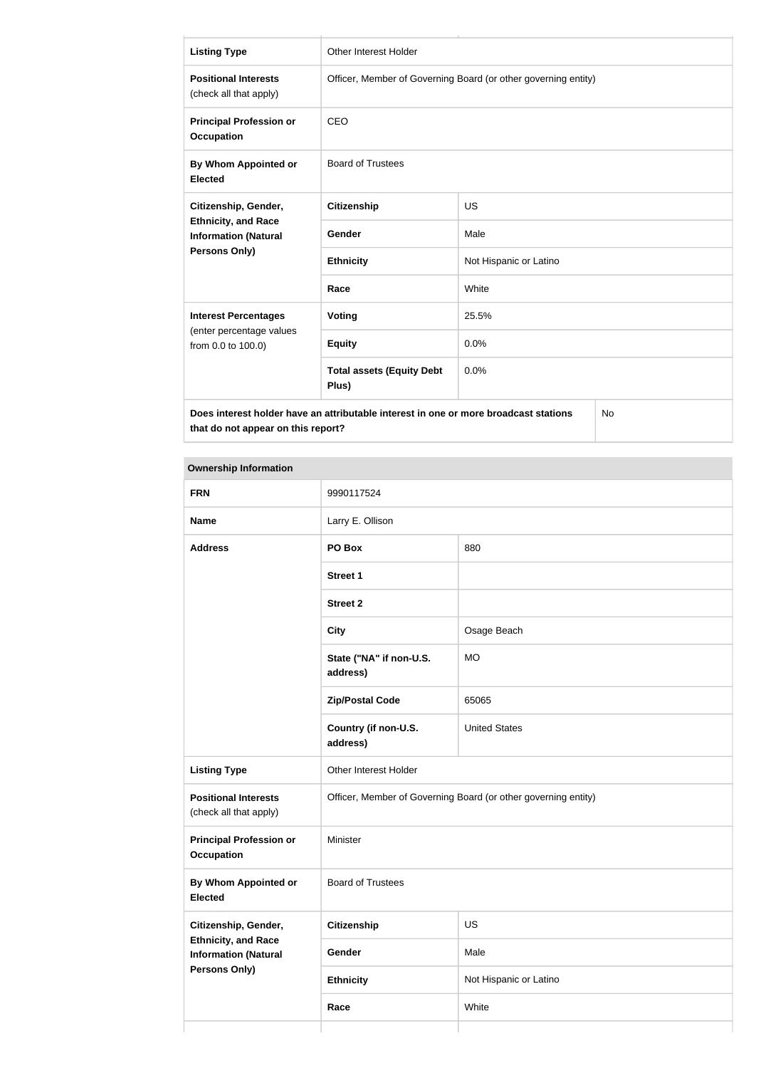| <b>Listing Type</b>                                                                                                              | Other Interest Holder                                          |                        |  |
|----------------------------------------------------------------------------------------------------------------------------------|----------------------------------------------------------------|------------------------|--|
| <b>Positional Interests</b><br>(check all that apply)                                                                            | Officer, Member of Governing Board (or other governing entity) |                        |  |
| <b>Principal Profession or</b><br><b>Occupation</b>                                                                              | <b>CEO</b>                                                     |                        |  |
| By Whom Appointed or<br><b>Elected</b>                                                                                           | <b>Board of Trustees</b>                                       |                        |  |
| Citizenship, Gender,                                                                                                             | <b>Citizenship</b>                                             | <b>US</b>              |  |
| <b>Ethnicity, and Race</b><br><b>Information (Natural</b>                                                                        | Gender                                                         | Male                   |  |
| Persons Only)                                                                                                                    | <b>Ethnicity</b>                                               | Not Hispanic or Latino |  |
|                                                                                                                                  | Race                                                           | White                  |  |
| <b>Interest Percentages</b>                                                                                                      | Voting                                                         | 25.5%                  |  |
| (enter percentage values<br>from 0.0 to 100.0)                                                                                   | <b>Equity</b>                                                  | 0.0%                   |  |
|                                                                                                                                  | <b>Total assets (Equity Debt</b><br>Plus)                      | 0.0%                   |  |
| Does interest holder have an attributable interest in one or more broadcast stations<br>No<br>that do not appear on this report? |                                                                |                        |  |

### **Ownership Information**

| <b>FRN</b>                                                | 9990117524                                                     |                        |  |
|-----------------------------------------------------------|----------------------------------------------------------------|------------------------|--|
| <b>Name</b>                                               | Larry E. Ollison                                               |                        |  |
| <b>Address</b>                                            | PO Box                                                         | 880                    |  |
|                                                           | <b>Street 1</b>                                                |                        |  |
|                                                           | <b>Street 2</b>                                                |                        |  |
|                                                           | <b>City</b>                                                    | Osage Beach            |  |
|                                                           | State ("NA" if non-U.S.<br>address)                            | <b>MO</b>              |  |
|                                                           | <b>Zip/Postal Code</b>                                         | 65065                  |  |
|                                                           | Country (if non-U.S.<br>address)                               | <b>United States</b>   |  |
| <b>Listing Type</b>                                       | Other Interest Holder                                          |                        |  |
| <b>Positional Interests</b><br>(check all that apply)     | Officer, Member of Governing Board (or other governing entity) |                        |  |
| <b>Principal Profession or</b><br><b>Occupation</b>       | Minister                                                       |                        |  |
| By Whom Appointed or<br><b>Elected</b>                    | <b>Board of Trustees</b>                                       |                        |  |
| Citizenship, Gender,                                      | Citizenship                                                    | US                     |  |
| <b>Ethnicity, and Race</b><br><b>Information (Natural</b> | Gender                                                         | Male                   |  |
| <b>Persons Only)</b>                                      | <b>Ethnicity</b>                                               | Not Hispanic or Latino |  |
|                                                           | Race                                                           | White                  |  |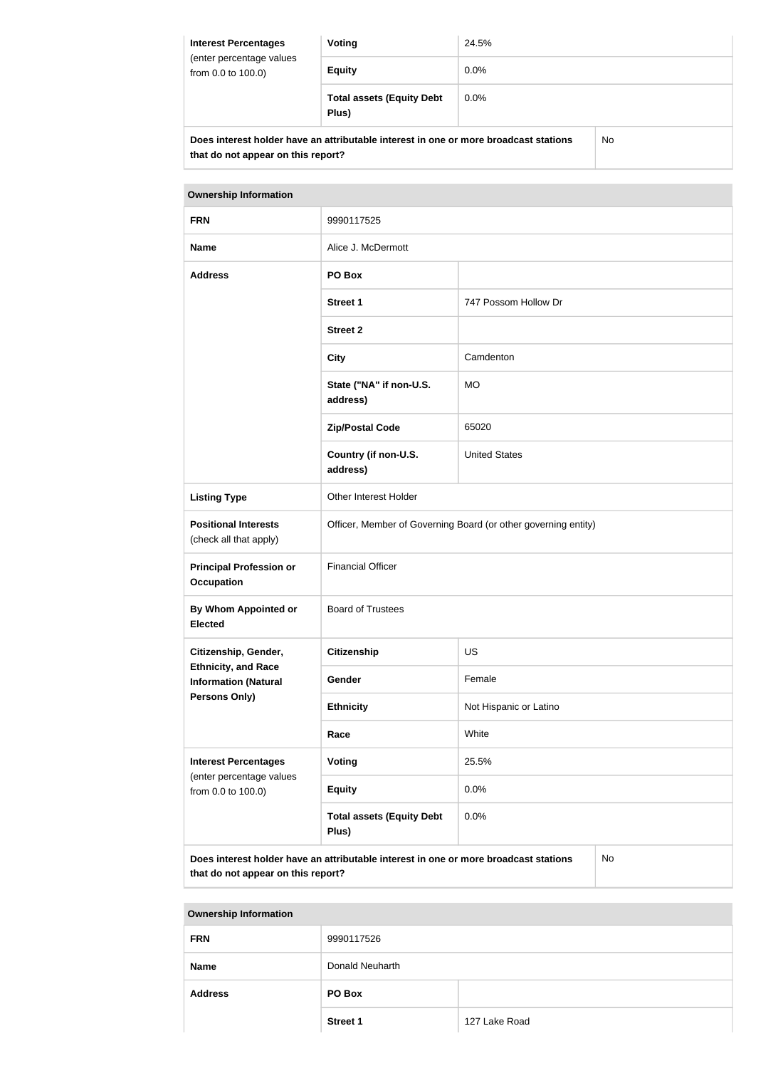| <b>Interest Percentages</b><br>(enter percentage values<br>from 0.0 to 100.0) | Voting                                                                               | 24.5%   |    |
|-------------------------------------------------------------------------------|--------------------------------------------------------------------------------------|---------|----|
|                                                                               | <b>Equity</b>                                                                        | $0.0\%$ |    |
|                                                                               | <b>Total assets (Equity Debt</b><br>Plus)                                            | $0.0\%$ |    |
|                                                                               | Does interest holder have an attributable interest in one or more broadcast stations |         | No |

**that do not appear on this report?**

| <b>Ownership Information</b>                              |                                                                                      |                        |    |
|-----------------------------------------------------------|--------------------------------------------------------------------------------------|------------------------|----|
| <b>FRN</b>                                                | 9990117525                                                                           |                        |    |
| <b>Name</b>                                               | Alice J. McDermott                                                                   |                        |    |
| <b>Address</b>                                            | PO Box                                                                               |                        |    |
|                                                           | <b>Street 1</b>                                                                      | 747 Possom Hollow Dr   |    |
|                                                           | <b>Street 2</b>                                                                      |                        |    |
|                                                           | <b>City</b>                                                                          | Camdenton              |    |
|                                                           | State ("NA" if non-U.S.<br>address)                                                  | <b>MO</b>              |    |
|                                                           | <b>Zip/Postal Code</b>                                                               | 65020                  |    |
|                                                           | Country (if non-U.S.<br>address)                                                     | <b>United States</b>   |    |
| <b>Listing Type</b>                                       | Other Interest Holder                                                                |                        |    |
| <b>Positional Interests</b><br>(check all that apply)     | Officer, Member of Governing Board (or other governing entity)                       |                        |    |
| <b>Principal Profession or</b><br><b>Occupation</b>       | <b>Financial Officer</b>                                                             |                        |    |
| By Whom Appointed or<br><b>Elected</b>                    | <b>Board of Trustees</b>                                                             |                        |    |
| Citizenship, Gender,                                      | <b>Citizenship</b>                                                                   | <b>US</b>              |    |
| <b>Ethnicity, and Race</b><br><b>Information (Natural</b> | Gender                                                                               | Female                 |    |
| Persons Only)                                             | <b>Ethnicity</b>                                                                     | Not Hispanic or Latino |    |
|                                                           | Race                                                                                 | White                  |    |
| <b>Interest Percentages</b>                               | Voting                                                                               | 25.5%                  |    |
| (enter percentage values<br>from 0.0 to 100.0)            | <b>Equity</b>                                                                        | 0.0%                   |    |
|                                                           | <b>Total assets (Equity Debt</b><br>Plus)                                            | 0.0%                   |    |
|                                                           | Does interest holder have an attributable interest in one or more broadcast stations |                        | No |

**that do not appear on this report?**

**Ownership Information FRN** 9990117526 **Name** Donald Neuharth **Address PO Box Street 1** 127 Lake Road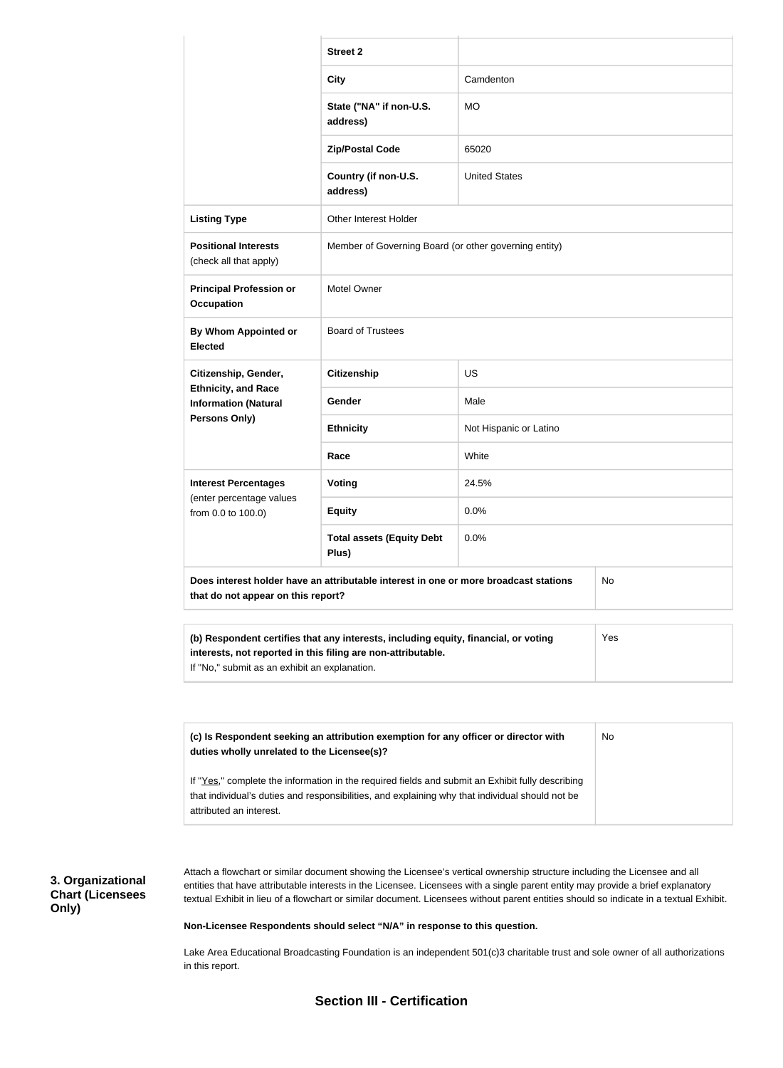|                                                                                                                                                                                                                                        | <b>Street 2</b>                                                                                 |                        |     |  |
|----------------------------------------------------------------------------------------------------------------------------------------------------------------------------------------------------------------------------------------|-------------------------------------------------------------------------------------------------|------------------------|-----|--|
|                                                                                                                                                                                                                                        | <b>City</b>                                                                                     | Camdenton              |     |  |
|                                                                                                                                                                                                                                        | State ("NA" if non-U.S.<br>address)                                                             | <b>MO</b>              |     |  |
|                                                                                                                                                                                                                                        | <b>Zip/Postal Code</b>                                                                          | 65020                  |     |  |
|                                                                                                                                                                                                                                        | Country (if non-U.S.<br>address)                                                                | <b>United States</b>   |     |  |
| <b>Listing Type</b>                                                                                                                                                                                                                    | Other Interest Holder                                                                           |                        |     |  |
| <b>Positional Interests</b><br>(check all that apply)                                                                                                                                                                                  | Member of Governing Board (or other governing entity)                                           |                        |     |  |
| <b>Principal Profession or</b><br><b>Occupation</b>                                                                                                                                                                                    | Motel Owner                                                                                     |                        |     |  |
| By Whom Appointed or<br><b>Elected</b>                                                                                                                                                                                                 | <b>Board of Trustees</b>                                                                        |                        |     |  |
| Citizenship, Gender,                                                                                                                                                                                                                   | <b>Citizenship</b>                                                                              | <b>US</b>              |     |  |
| <b>Ethnicity, and Race</b><br><b>Information (Natural</b><br><b>Persons Only)</b>                                                                                                                                                      | Gender                                                                                          | Male                   |     |  |
|                                                                                                                                                                                                                                        | <b>Ethnicity</b>                                                                                | Not Hispanic or Latino |     |  |
|                                                                                                                                                                                                                                        | Race                                                                                            | White                  |     |  |
| <b>Interest Percentages</b><br>(enter percentage values<br>from 0.0 to 100.0)                                                                                                                                                          | <b>Voting</b>                                                                                   | 24.5%                  |     |  |
|                                                                                                                                                                                                                                        | <b>Equity</b>                                                                                   | 0.0%                   |     |  |
|                                                                                                                                                                                                                                        | <b>Total assets (Equity Debt</b><br>0.0%<br>Plus)                                               |                        |     |  |
| Does interest holder have an attributable interest in one or more broadcast stations<br>that do not appear on this report?                                                                                                             |                                                                                                 |                        | No  |  |
| (b) Respondent certifies that any interests, including equity, financial, or voting<br>interests, not reported in this filing are non-attributable.<br>If "No," submit as an exhibit an explanation.                                   |                                                                                                 |                        | Yes |  |
| (c) Is Respondent seeking an attribution exemption for any officer or director with<br>duties wholly unrelated to the Licensee(s)?<br>If "Yes," complete the information in the required fields and submit an Exhibit fully describing |                                                                                                 |                        | No  |  |
| attributed an interest.                                                                                                                                                                                                                | that individual's duties and responsibilities, and explaining why that individual should not be |                        |     |  |

**3. Organizational Chart (Licensees Only)**

Attach a flowchart or similar document showing the Licensee's vertical ownership structure including the Licensee and all entities that have attributable interests in the Licensee. Licensees with a single parent entity may provide a brief explanatory textual Exhibit in lieu of a flowchart or similar document. Licensees without parent entities should so indicate in a textual Exhibit.

#### **Non-Licensee Respondents should select "N/A" in response to this question.**

Lake Area Educational Broadcasting Foundation is an independent 501(c)3 charitable trust and sole owner of all authorizations in this report.